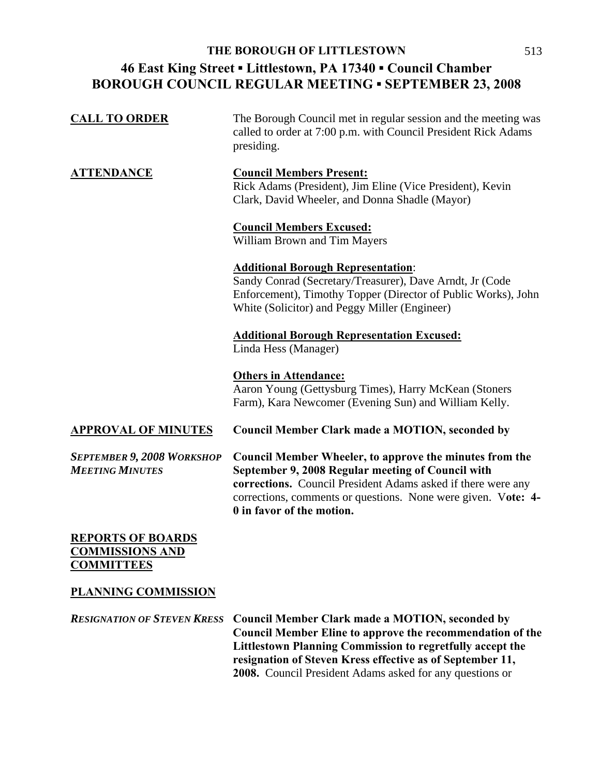| <b>CALL TO ORDER</b>                                        | The Borough Council met in regular session and the meeting was<br>called to order at 7:00 p.m. with Council President Rick Adams<br>presiding.                                                                                                                                    |
|-------------------------------------------------------------|-----------------------------------------------------------------------------------------------------------------------------------------------------------------------------------------------------------------------------------------------------------------------------------|
| <b>ATTENDANCE</b>                                           | <b>Council Members Present:</b><br>Rick Adams (President), Jim Eline (Vice President), Kevin<br>Clark, David Wheeler, and Donna Shadle (Mayor)                                                                                                                                    |
|                                                             | <b>Council Members Excused:</b><br>William Brown and Tim Mayers                                                                                                                                                                                                                   |
|                                                             | <b>Additional Borough Representation:</b><br>Sandy Conrad (Secretary/Treasurer), Dave Arndt, Jr (Code<br>Enforcement), Timothy Topper (Director of Public Works), John<br>White (Solicitor) and Peggy Miller (Engineer)                                                           |
|                                                             | <b>Additional Borough Representation Excused:</b><br>Linda Hess (Manager)                                                                                                                                                                                                         |
|                                                             | <b>Others in Attendance:</b><br>Aaron Young (Gettysburg Times), Harry McKean (Stoners<br>Farm), Kara Newcomer (Evening Sun) and William Kelly.                                                                                                                                    |
| <b>APPROVAL OF MINUTES</b>                                  | <b>Council Member Clark made a MOTION, seconded by</b>                                                                                                                                                                                                                            |
| <b>SEPTEMBER 9, 2008 WORKSHOP</b><br><b>MEETING MINUTES</b> | <b>Council Member Wheeler, to approve the minutes from the</b><br>September 9, 2008 Regular meeting of Council with<br>corrections. Council President Adams asked if there were any<br>corrections, comments or questions. None were given. Vote: 4-<br>0 in favor of the motion. |

### **REPORTS OF BOARDS COMMISSIONS AND COMMITTEES**

#### **PLANNING COMMISSION**

*RESIGNATION OF STEVEN KRESS* **Council Member Clark made a MOTION, seconded by Council Member Eline to approve the recommendation of the Littlestown Planning Commission to regretfully accept the resignation of Steven Kress effective as of September 11, 2008.** Council President Adams asked for any questions or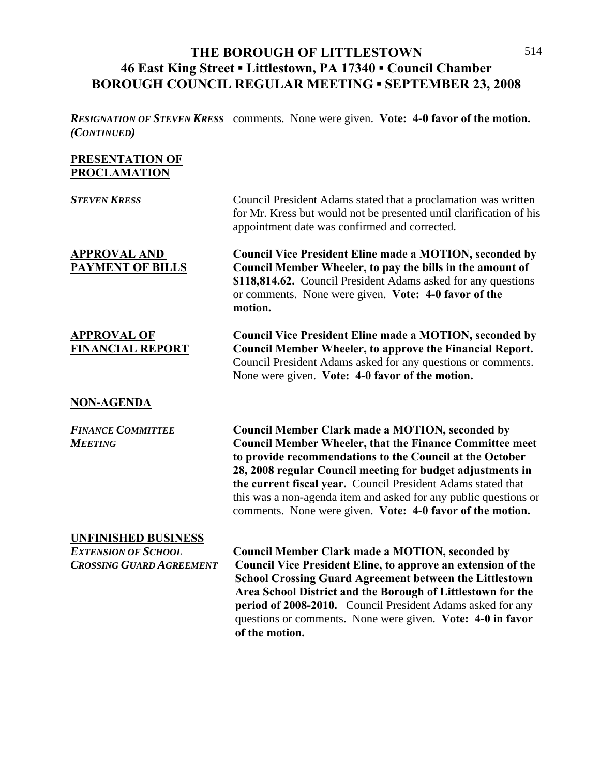## THE BOROUGH OF LITTLESTOWN 514 **46 East King Street ▪ Littlestown, PA 17340 ▪ Council Chamber BOROUGH COUNCIL REGULAR MEETING ▪ SEPTEMBER 23, 2008**

*RESIGNATION OF STEVEN KRESS* comments. None were given. **Vote: 4-0 favor of the motion.**  *(CONTINUED)*

#### **PRESENTATION OF PROCLAMATION**

| <b>STEVEN KRESS</b>                            | Council President Adams stated that a proclamation was written<br>for Mr. Kress but would not be presented until clarification of his<br>appointment date was confirmed and corrected.                                                                                                                                                                                                                                                              |
|------------------------------------------------|-----------------------------------------------------------------------------------------------------------------------------------------------------------------------------------------------------------------------------------------------------------------------------------------------------------------------------------------------------------------------------------------------------------------------------------------------------|
| <b>APPROVAL AND</b><br><b>PAYMENT OF BILLS</b> | <b>Council Vice President Eline made a MOTION, seconded by</b><br>Council Member Wheeler, to pay the bills in the amount of<br>\$118,814.62. Council President Adams asked for any questions<br>or comments. None were given. Vote: 4-0 favor of the<br>motion.                                                                                                                                                                                     |
| <b>APPROVAL OF</b><br><b>FINANCIAL REPORT</b>  | <b>Council Vice President Eline made a MOTION, seconded by</b><br><b>Council Member Wheeler, to approve the Financial Report.</b><br>Council President Adams asked for any questions or comments.<br>None were given. Vote: 4-0 favor of the motion.                                                                                                                                                                                                |
| <b>NON-AGENDA</b>                              |                                                                                                                                                                                                                                                                                                                                                                                                                                                     |
| <b>FINANCE COMMITTEE</b><br><b>MEETING</b>     | <b>Council Member Clark made a MOTION, seconded by</b><br><b>Council Member Wheeler, that the Finance Committee meet</b><br>to provide recommendations to the Council at the October<br>28, 2008 regular Council meeting for budget adjustments in<br>the current fiscal year. Council President Adams stated that<br>this was a non-agenda item and asked for any public questions or<br>comments. None were given. Vote: 4-0 favor of the motion. |

#### **UNFINISHED BUSINESS**

*EXTENSION OF SCHOOL* **Council Member Clark made a MOTION, seconded by**  *CROSSING GUARD AGREEMENT* **Council Vice President Eline, to approve an extension of the School Crossing Guard Agreement between the Littlestown Area School District and the Borough of Littlestown for the period of 2008-2010.** Council President Adams asked for any questions or comments. None were given. **Vote: 4-0 in favor of the motion.**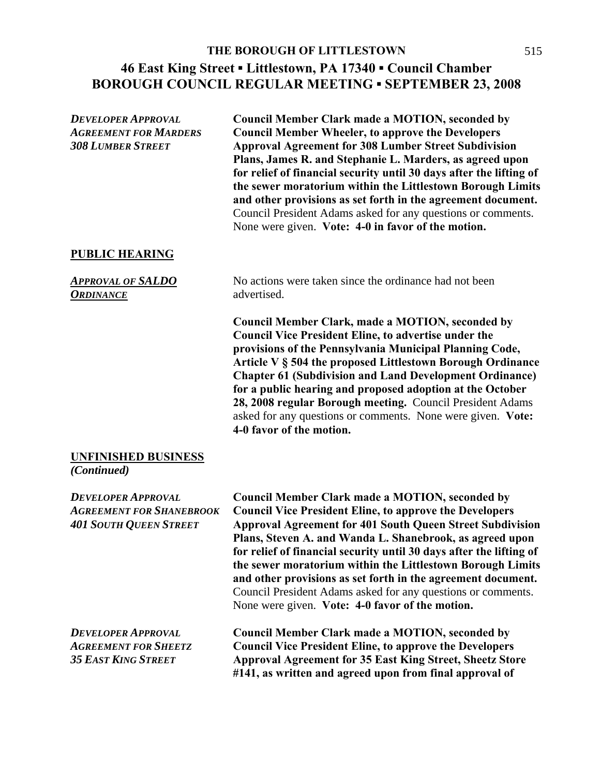*DEVELOPER APPROVAL* **Council Member Clark made a MOTION, seconded by**  *AGREEMENT FOR MARDERS* **Council Member Wheeler, to approve the Developers**  *308 LUMBER STREET* **Approval Agreement for 308 Lumber Street Subdivision Plans, James R. and Stephanie L. Marders, as agreed upon for relief of financial security until 30 days after the lifting of the sewer moratorium within the Littlestown Borough Limits and other provisions as set forth in the agreement document.**  Council President Adams asked for any questions or comments. None were given. **Vote: 4-0 in favor of the motion.** 

#### **PUBLIC HEARING**

*ORDINANCE* advertised.

*APPROVAL OF SALDO* No actions were taken since the ordinance had not been

**Council Member Clark, made a MOTION, seconded by Council Vice President Eline, to advertise under the provisions of the Pennsylvania Municipal Planning Code, Article V § 504 the proposed Littlestown Borough Ordinance Chapter 61 (Subdivision and Land Development Ordinance) for a public hearing and proposed adoption at the October 28, 2008 regular Borough meeting.** Council President Adams asked for any questions or comments. None were given. **Vote: 4-0 favor of the motion.** 

#### **UNFINISHED BUSINESS** *(Continued)*

*DEVELOPER APPROVAL* **Council Member Clark made a MOTION, seconded by**  *AGREEMENT FOR SHANEBROOK* **Council Vice President Eline, to approve the Developers**  *401 SOUTH QUEEN STREET* **Approval Agreement for 401 South Queen Street Subdivision Plans, Steven A. and Wanda L. Shanebrook, as agreed upon for relief of financial security until 30 days after the lifting of the sewer moratorium within the Littlestown Borough Limits and other provisions as set forth in the agreement document.**  Council President Adams asked for any questions or comments. None were given. **Vote: 4-0 favor of the motion.**  *DEVELOPER APPROVAL* **Council Member Clark made a MOTION, seconded by**  *AGREEMENT FOR SHEETZ* **Council Vice President Eline, to approve the Developers**  *35 EAST KING STREET* **Approval Agreement for 35 East King Street, Sheetz Store #141, as written and agreed upon from final approval of**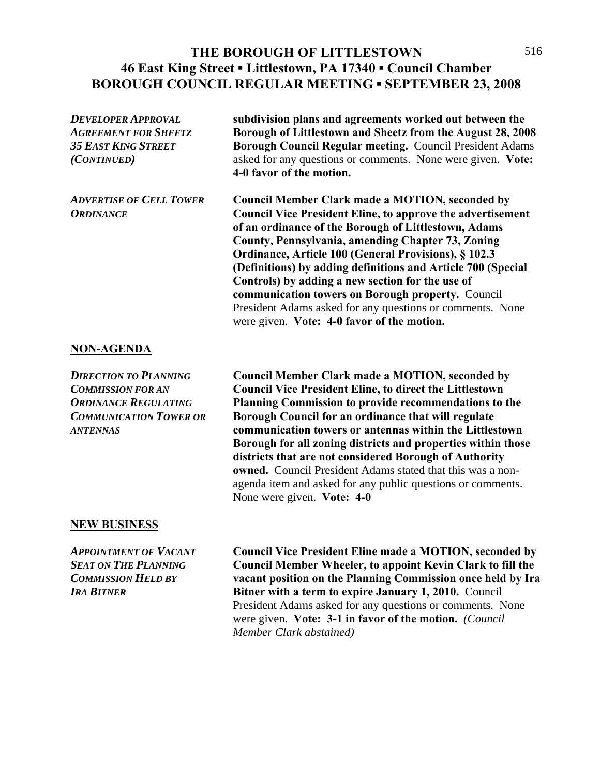### THE BOROUGH OF LITTLESTOWN 516 **46 East King Street ▪ Littlestown, PA 17340 ▪ Council Chamber BOROUGH COUNCIL REGULAR MEETING ▪ SEPTEMBER 23, 2008**

| <b>DEVELOPER APPROVAL</b><br><b>AGREEMENT FOR SHEETZ</b> | subdivision plans and agreements worked out between the<br>Borough of Littlestown and Sheetz from the August 28, 2008   |
|----------------------------------------------------------|-------------------------------------------------------------------------------------------------------------------------|
| <b>35 EAST KING STREET</b><br>(CONTINUED)                | Borough Council Regular meeting. Council President Adams<br>asked for any questions or comments. None were given. Vote: |
|                                                          | 4-0 favor of the motion.                                                                                                |
| <b>ADVERTISE OF CELL TOWER</b>                           | <b>Council Member Clark made a MOTION, seconded by</b>                                                                  |
| <b>ORDINANCE</b>                                         | <b>Council Vice President Eline, to approve the advertisement</b>                                                       |
|                                                          | of an ordinance of the Borough of Littlestown, Adams                                                                    |
|                                                          | County, Pennsylvania, amending Chapter 73, Zoning                                                                       |
|                                                          | Ordinance, Article 100 (General Provisions), § 102.3                                                                    |
|                                                          | (Definitions) by adding definitions and Article 700 (Special                                                            |
|                                                          | Controls) by adding a new section for the use of                                                                        |
|                                                          | communication towers on Borough property. Council                                                                       |
|                                                          | President Adams asked for any questions or comments. None                                                               |
|                                                          | were given. Vote: 4-0 favor of the motion.                                                                              |
| NON ACENDA                                               |                                                                                                                         |

### **NON-AGENDA**

*DIRECTION TO PLANNING* **Council Member Clark made a MOTION, seconded by**  *COMMISSION FOR AN* **Council Vice President Eline, to direct the Littlestown**  *ORDINANCE REGULATING* **Planning Commission to provide recommendations to the COMMUNICATION TOWER OR** Borough Council for an ordinance that will regulate *ANTENNAS* **communication towers or antennas within the Littlestown Borough for all zoning districts and properties within those districts that are not considered Borough of Authority owned.** Council President Adams stated that this was a nonagenda item and asked for any public questions or comments. None were given. **Vote: 4-0**

### **NEW BUSINESS**

*APPOINTMENT OF VACANT* **Council Vice President Eline made a MOTION, seconded by** *SEAT ON THE PLANNING* **Council Member Wheeler, to appoint Kevin Clark to fill the**  *COMMISSION HELD BY* **vacant position on the Planning Commission once held by Ira**  *IRA BITNER* **Bitner with a term to expire January 1, 2010.** Council President Adams asked for any questions or comments. None were given. **Vote: 3-1 in favor of the motion.** *(Council Member Clark abstained)*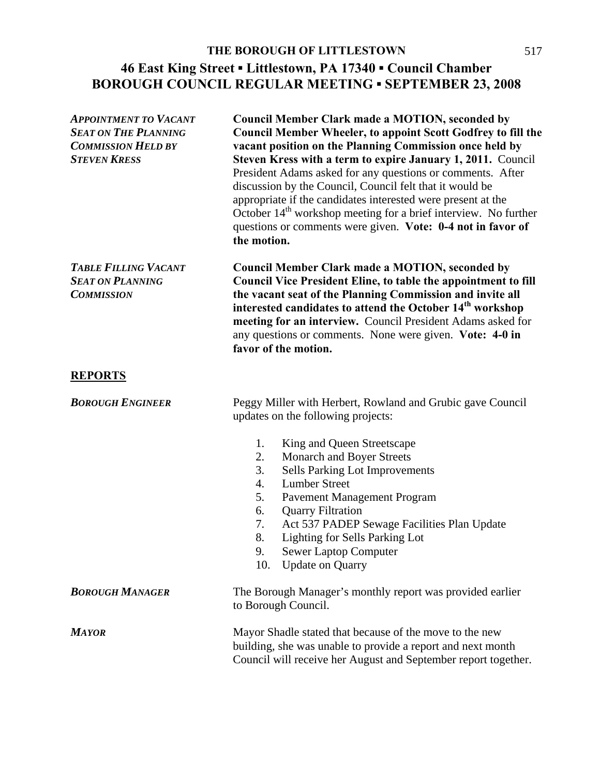| <b>APPOINTMENT TO VACANT</b><br><b>SEAT ON THE PLANNING</b><br><b>COMMISSION HELD BY</b><br><b>STEVEN KRESS</b> | <b>Council Member Clark made a MOTION, seconded by</b><br><b>Council Member Wheeler, to appoint Scott Godfrey to fill the</b><br>vacant position on the Planning Commission once held by<br>Steven Kress with a term to expire January 1, 2011. Council<br>President Adams asked for any questions or comments. After<br>discussion by the Council, Council felt that it would be<br>appropriate if the candidates interested were present at the<br>October $14th$ workshop meeting for a brief interview. No further<br>questions or comments were given. Vote: 0-4 not in favor of<br>the motion. |
|-----------------------------------------------------------------------------------------------------------------|------------------------------------------------------------------------------------------------------------------------------------------------------------------------------------------------------------------------------------------------------------------------------------------------------------------------------------------------------------------------------------------------------------------------------------------------------------------------------------------------------------------------------------------------------------------------------------------------------|
| <b>TABLE FILLING VACANT</b><br><b>SEAT ON PLANNING</b><br><b>COMMISSION</b>                                     | <b>Council Member Clark made a MOTION, seconded by</b><br><b>Council Vice President Eline, to table the appointment to fill</b><br>the vacant seat of the Planning Commission and invite all<br>interested candidates to attend the October 14 <sup>th</sup> workshop<br>meeting for an interview. Council President Adams asked for<br>any questions or comments. None were given. Vote: 4-0 in<br>favor of the motion.                                                                                                                                                                             |
| <b>REPORTS</b>                                                                                                  |                                                                                                                                                                                                                                                                                                                                                                                                                                                                                                                                                                                                      |
| <b>BOROUGH ENGINEER</b>                                                                                         | Peggy Miller with Herbert, Rowland and Grubic gave Council<br>updates on the following projects:                                                                                                                                                                                                                                                                                                                                                                                                                                                                                                     |
|                                                                                                                 | King and Queen Streetscape<br>1.<br>2.<br>Monarch and Boyer Streets<br>3.<br>Sells Parking Lot Improvements<br><b>Lumber Street</b><br>4.<br>5.<br>Pavement Management Program<br>6.<br><b>Quarry Filtration</b><br>7.<br>Act 537 PADEP Sewage Facilities Plan Update<br>8.<br><b>Lighting for Sells Parking Lot</b><br>9.<br><b>Sewer Laptop Computer</b><br><b>Update on Quarry</b><br>10.                                                                                                                                                                                                         |
| <b>BOROUGH MANAGER</b>                                                                                          | The Borough Manager's monthly report was provided earlier<br>to Borough Council.                                                                                                                                                                                                                                                                                                                                                                                                                                                                                                                     |
| <b>MAYOR</b>                                                                                                    | Mayor Shadle stated that because of the move to the new<br>building, she was unable to provide a report and next month<br>Council will receive her August and September report together.                                                                                                                                                                                                                                                                                                                                                                                                             |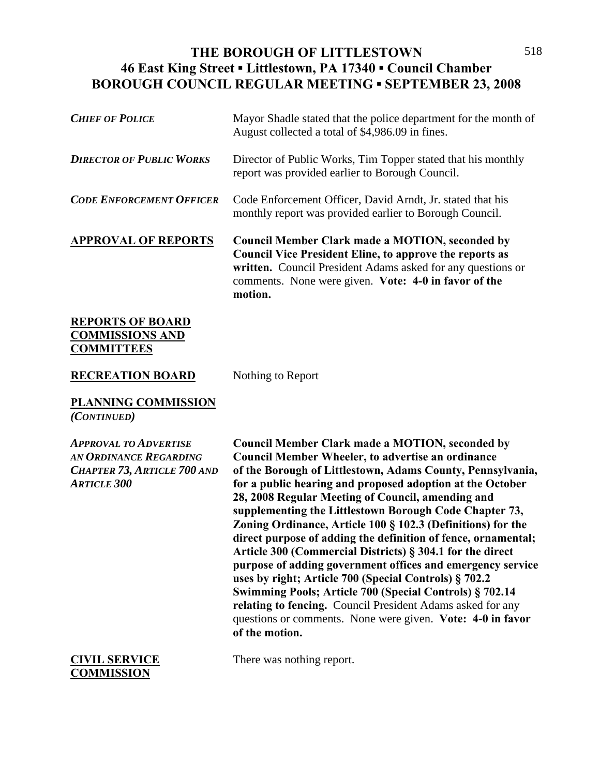# **THE BOROUGH OF LITTLESTOWN**  518 **46 East King Street ▪ Littlestown, PA 17340 ▪ Council Chamber BOROUGH COUNCIL REGULAR MEETING ▪ SEPTEMBER 23, 2008**

| <b>CHIEF OF POLICE</b>                                                                                             | Mayor Shadle stated that the police department for the month of<br>August collected a total of \$4,986.09 in fines.                                                                                                                                                                                                                                                                                                                                                                                                                                                                                                                                                                                                                                                                                                                                                                              |
|--------------------------------------------------------------------------------------------------------------------|--------------------------------------------------------------------------------------------------------------------------------------------------------------------------------------------------------------------------------------------------------------------------------------------------------------------------------------------------------------------------------------------------------------------------------------------------------------------------------------------------------------------------------------------------------------------------------------------------------------------------------------------------------------------------------------------------------------------------------------------------------------------------------------------------------------------------------------------------------------------------------------------------|
| <b>DIRECTOR OF PUBLIC WORKS</b>                                                                                    | Director of Public Works, Tim Topper stated that his monthly<br>report was provided earlier to Borough Council.                                                                                                                                                                                                                                                                                                                                                                                                                                                                                                                                                                                                                                                                                                                                                                                  |
| <b>CODE ENFORCEMENT OFFICER</b>                                                                                    | Code Enforcement Officer, David Arndt, Jr. stated that his<br>monthly report was provided earlier to Borough Council.                                                                                                                                                                                                                                                                                                                                                                                                                                                                                                                                                                                                                                                                                                                                                                            |
| <b>APPROVAL OF REPORTS</b>                                                                                         | <b>Council Member Clark made a MOTION, seconded by</b><br><b>Council Vice President Eline, to approve the reports as</b><br>written. Council President Adams asked for any questions or<br>comments. None were given. Vote: 4-0 in favor of the<br>motion.                                                                                                                                                                                                                                                                                                                                                                                                                                                                                                                                                                                                                                       |
| <b>REPORTS OF BOARD</b><br><b>COMMISSIONS AND</b><br><b>COMMITTEES</b>                                             |                                                                                                                                                                                                                                                                                                                                                                                                                                                                                                                                                                                                                                                                                                                                                                                                                                                                                                  |
| <b>RECREATION BOARD</b>                                                                                            | Nothing to Report                                                                                                                                                                                                                                                                                                                                                                                                                                                                                                                                                                                                                                                                                                                                                                                                                                                                                |
| <b>PLANNING COMMISSION</b><br>(CONTINUED)                                                                          |                                                                                                                                                                                                                                                                                                                                                                                                                                                                                                                                                                                                                                                                                                                                                                                                                                                                                                  |
| <b>APPROVAL TO ADVERTISE</b><br>AN ORDINANCE REGARDING<br><b>CHAPTER 73, ARTICLE 700 AND</b><br><b>ARTICLE 300</b> | <b>Council Member Clark made a MOTION, seconded by</b><br><b>Council Member Wheeler, to advertise an ordinance</b><br>of the Borough of Littlestown, Adams County, Pennsylvania,<br>for a public hearing and proposed adoption at the October<br>28, 2008 Regular Meeting of Council, amending and<br>supplementing the Littlestown Borough Code Chapter 73,<br>Zoning Ordinance, Article 100 § 102.3 (Definitions) for the<br>direct purpose of adding the definition of fence, ornamental;<br>Article 300 (Commercial Districts) § 304.1 for the direct<br>purpose of adding government offices and emergency service<br>uses by right; Article 700 (Special Controls) § 702.2<br><b>Swimming Pools; Article 700 (Special Controls) § 702.14</b><br>relating to fencing. Council President Adams asked for any<br>questions or comments. None were given. Vote: 4-0 in favor<br>of the motion. |

**CIVIL SERVICE** There was nothing report.

**COMMISSION**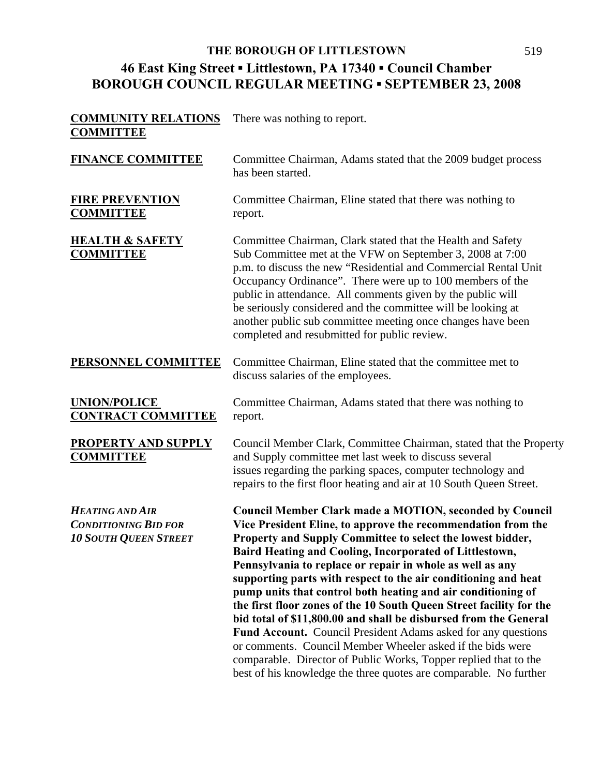| <b>COMMUNITY RELATIONS</b><br><b>COMMITTEE</b>                                        | There was nothing to report.                                                                                                                                                                                                                                                                                                                                                                                                                                                                                                                                                                                                                                       |
|---------------------------------------------------------------------------------------|--------------------------------------------------------------------------------------------------------------------------------------------------------------------------------------------------------------------------------------------------------------------------------------------------------------------------------------------------------------------------------------------------------------------------------------------------------------------------------------------------------------------------------------------------------------------------------------------------------------------------------------------------------------------|
| <b>FINANCE COMMITTEE</b>                                                              | Committee Chairman, Adams stated that the 2009 budget process<br>has been started.                                                                                                                                                                                                                                                                                                                                                                                                                                                                                                                                                                                 |
| <b>FIRE PREVENTION</b><br><b>COMMITTEE</b>                                            | Committee Chairman, Eline stated that there was nothing to<br>report.                                                                                                                                                                                                                                                                                                                                                                                                                                                                                                                                                                                              |
| <b>HEALTH &amp; SAFETY</b><br><b>COMMITTEE</b>                                        | Committee Chairman, Clark stated that the Health and Safety<br>Sub Committee met at the VFW on September 3, 2008 at 7:00<br>p.m. to discuss the new "Residential and Commercial Rental Unit<br>Occupancy Ordinance". There were up to 100 members of the<br>public in attendance. All comments given by the public will<br>be seriously considered and the committee will be looking at<br>another public sub committee meeting once changes have been<br>completed and resubmitted for public review.                                                                                                                                                             |
| PERSONNEL COMMITTEE                                                                   | Committee Chairman, Eline stated that the committee met to<br>discuss salaries of the employees.                                                                                                                                                                                                                                                                                                                                                                                                                                                                                                                                                                   |
| <b>UNION/POLICE</b><br><b>CONTRACT COMMITTEE</b>                                      | Committee Chairman, Adams stated that there was nothing to<br>report.                                                                                                                                                                                                                                                                                                                                                                                                                                                                                                                                                                                              |
| <b>PROPERTY AND SUPPLY</b><br><b>COMMITTEE</b>                                        | Council Member Clark, Committee Chairman, stated that the Property<br>and Supply committee met last week to discuss several<br>issues regarding the parking spaces, computer technology and<br>repairs to the first floor heating and air at 10 South Queen Street.                                                                                                                                                                                                                                                                                                                                                                                                |
| <b>HEATING AND AIR</b><br><b>CONDITIONING BID FOR</b><br><b>10 SOUTH QUEEN STREET</b> | <b>Council Member Clark made a MOTION, seconded by Council</b><br>Vice President Eline, to approve the recommendation from the<br>Property and Supply Committee to select the lowest bidder,<br>Baird Heating and Cooling, Incorporated of Littlestown,<br>Pennsylvania to replace or repair in whole as well as any<br>supporting parts with respect to the air conditioning and heat<br>pump units that control both heating and air conditioning of<br>the first floor zones of the 10 South Queen Street facility for the<br>bid total of \$11,800.00 and shall be disbursed from the General<br>Fund Account. Council President Adams asked for any questions |

or comments. Council Member Wheeler asked if the bids were comparable. Director of Public Works, Topper replied that to the best of his knowledge the three quotes are comparable. No further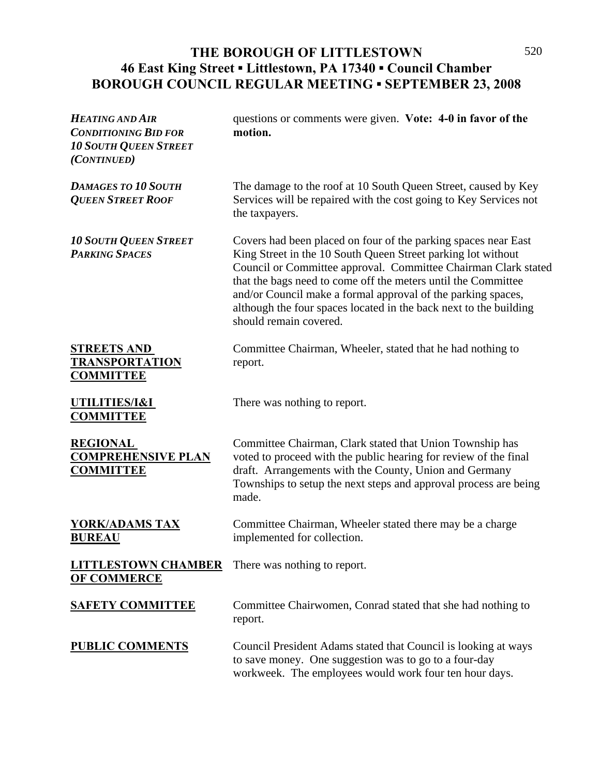# THE BOROUGH OF LITTLESTOWN 520 **46 East King Street ▪ Littlestown, PA 17340 ▪ Council Chamber BOROUGH COUNCIL REGULAR MEETING ▪ SEPTEMBER 23, 2008**

| <b>HEATING AND AIR</b><br><b>CONDITIONING BID FOR</b><br><b>10 SOUTH QUEEN STREET</b><br>(CONTINUED) | questions or comments were given. Vote: 4-0 in favor of the<br>motion.                                                                                                                                                                                                                                                                                                                                                           |
|------------------------------------------------------------------------------------------------------|----------------------------------------------------------------------------------------------------------------------------------------------------------------------------------------------------------------------------------------------------------------------------------------------------------------------------------------------------------------------------------------------------------------------------------|
| <b>DAMAGES TO 10 SOUTH</b><br><b>QUEEN STREET ROOF</b>                                               | The damage to the roof at 10 South Queen Street, caused by Key<br>Services will be repaired with the cost going to Key Services not<br>the taxpayers.                                                                                                                                                                                                                                                                            |
| <b>10 SOUTH QUEEN STREET</b><br><b>PARKING SPACES</b>                                                | Covers had been placed on four of the parking spaces near East<br>King Street in the 10 South Queen Street parking lot without<br>Council or Committee approval. Committee Chairman Clark stated<br>that the bags need to come off the meters until the Committee<br>and/or Council make a formal approval of the parking spaces,<br>although the four spaces located in the back next to the building<br>should remain covered. |
| <b>STREETS AND</b><br><b>TRANSPORTATION</b><br><b>COMMITTEE</b>                                      | Committee Chairman, Wheeler, stated that he had nothing to<br>report.                                                                                                                                                                                                                                                                                                                                                            |
| UTILITIES/I&I<br><b>COMMITTEE</b>                                                                    | There was nothing to report.                                                                                                                                                                                                                                                                                                                                                                                                     |
| <b>REGIONAL</b><br><b>COMPREHENSIVE PLAN</b><br><b>COMMITTEE</b>                                     | Committee Chairman, Clark stated that Union Township has<br>voted to proceed with the public hearing for review of the final<br>draft. Arrangements with the County, Union and Germany<br>Townships to setup the next steps and approval process are being<br>made.                                                                                                                                                              |
| YORK/ADAMS TAX<br><b>BUREAU</b>                                                                      | Committee Chairman, Wheeler stated there may be a charge<br>implemented for collection.                                                                                                                                                                                                                                                                                                                                          |
| <b>LITTLESTOWN CHAMBER</b><br><b>OF COMMERCE</b>                                                     | There was nothing to report.                                                                                                                                                                                                                                                                                                                                                                                                     |
| <b>SAFETY COMMITTEE</b>                                                                              | Committee Chairwomen, Conrad stated that she had nothing to<br>report.                                                                                                                                                                                                                                                                                                                                                           |
| <b>PUBLIC COMMENTS</b>                                                                               | Council President Adams stated that Council is looking at ways<br>to save money. One suggestion was to go to a four-day<br>workweek. The employees would work four ten hour days.                                                                                                                                                                                                                                                |